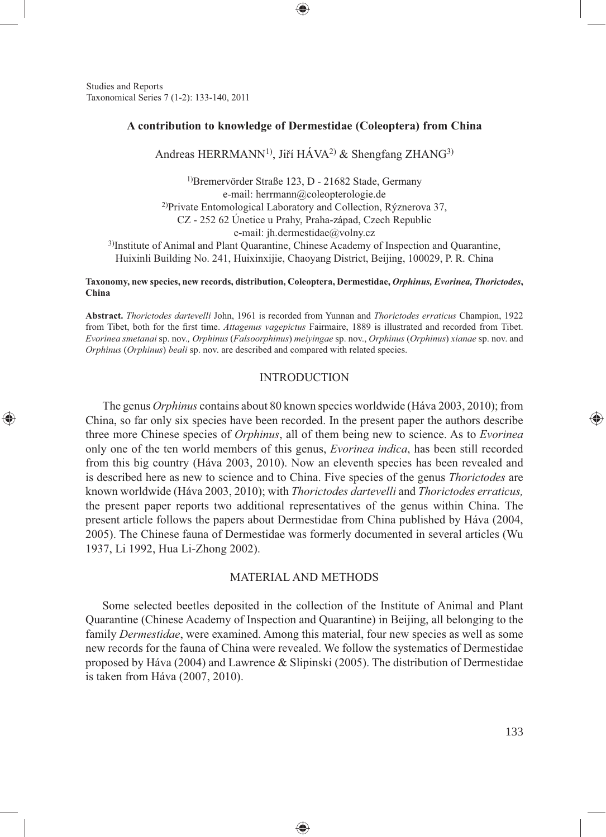Studies and Reports Taxonomical Series 7 (1-2): 133-140, 2011

⊕

# **A contribution to knowledge of Dermestidae (Coleoptera) from China**

⊕

Andreas HERRMANN<sup>1)</sup>, Jiří HÁVA<sup>2)</sup> & Shengfang ZHANG<sup>3)</sup>

1)Bremervörder Straße 123, D - 21682 Stade, Germany e-mail: herrmann@coleopterologie.de 2)Private Entomological Laboratory and Collection, Rýznerova 37, CZ - 252 62 Únetice u Prahy, Praha-západ, Czech Republic e-mail: jh.dermestidae@volny.cz

3)Institute of Animal and Plant Quarantine, Chinese Academy of Inspection and Quarantine, Huixinli Building No. 241, Huixinxijie, Chaoyang District, Beijing, 100029, P. R. China

#### **Taxonomy, new species, new records, distribution, Coleoptera, Dermestidae,** *Orphinus, Evorinea, Thorictodes***, China**

**Abstract.** *Thorictodes dartevelli* John, 1961 is recorded from Yunnan and *Thorictodes erraticus* Champion, 1922 from Tibet, both for the first time. *Attagenus vagepictus* Fairmaire, 1889 is illustrated and recorded from Tibet. *Evorinea smetanai* sp. nov.*, Orphinus* (*Falsoorphinus*) *meiyingae* sp. nov., *Orphinus* (*Orphinus*) *xianae* sp. nov. and *Orphinus* (*Orphinus*) *beali* sp. nov. are described and compared with related species.

## **INTRODUCTION**

The genus *Orphinus* contains about 80 known species worldwide (Háva 2003, 2010); from China, so far only six species have been recorded. In the present paper the authors describe three more Chinese species of *Orphinus*, all of them being new to science. As to *Evorinea* only one of the ten world members of this genus, *Evorinea indica*, has been still recorded from this big country (Háva 2003, 2010). Now an eleventh species has been revealed and is described here as new to science and to China. Five species of the genus *Thorictodes* are known worldwide (Háva 2003, 2010); with *Thorictodes dartevelli* and *Thorictodes erraticus,* the present paper reports two additional representatives of the genus within China. The present article follows the papers about Dermestidae from China published by Háva (2004, 2005). The Chinese fauna of Dermestidae was formerly documented in several articles (Wu 1937, Li 1992, Hua Li-Zhong 2002).

## MATERIAL AND METHODS

Some selected beetles deposited in the collection of the Institute of Animal and Plant Quarantine (Chinese Academy of Inspection and Quarantine) in Beijing, all belonging to the family *Dermestidae*, were examined. Among this material, four new species as well as some new records for the fauna of China were revealed. We follow the systematics of Dermestidae proposed by Háva (2004) and Lawrence & Slipinski (2005). The distribution of Dermestidae is taken from Háva (2007, 2010).

♠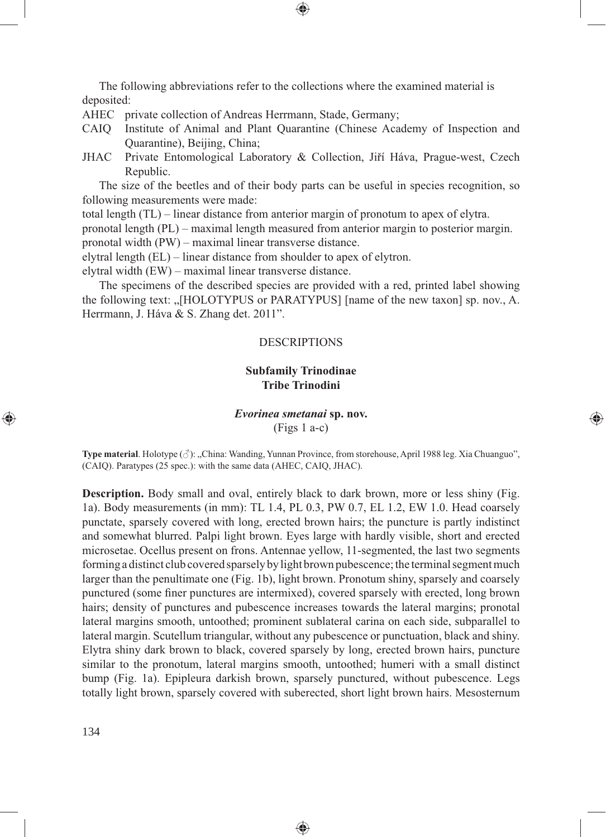The following abbreviations refer to the collections where the examined material is deposited:

- AHEC private collection of Andreas Herrmann, Stade, Germany;
- CAIQ Institute of Animal and Plant Quarantine (Chinese Academy of Inspection and Quarantine), Beijing, China;

⊕

JHAC Private Entomological Laboratory & Collection, Jiří Háva, Prague-west, Czech Republic.

The size of the beetles and of their body parts can be useful in species recognition, so following measurements were made:

total length (TL) – linear distance from anterior margin of pronotum to apex of elytra.

pronotal length (PL) – maximal length measured from anterior margin to posterior margin.

pronotal width (PW) – maximal linear transverse distance.

elytral length (EL) – linear distance from shoulder to apex of elytron.

elytral width (EW) – maximal linear transverse distance.

The specimens of the described species are provided with a red, printed label showing the following text: ...[HOLOTYPUS or PARATYPUS] [name of the new taxon] sp. nov., A. Herrmann, J. Háva & S. Zhang det. 2011".

#### DESCRIPTIONS

# **Subfamily Trinodinae Tribe Trinodini**

# *Evorinea smetanai* **sp. nov.**

⊕

(Figs 1 a-c)

**Type material**. Holotype ( $\Diamond$ ): "China: Wanding, Yunnan Province, from storehouse, April 1988 leg. Xia Chuanguo", (CAIQ). Paratypes (25 spec.): with the same data (AHEC, CAIQ, JHAC).

**Description.** Body small and oval, entirely black to dark brown, more or less shiny (Fig. 1a). Body measurements (in mm): TL 1.4, PL 0.3, PW 0.7, EL 1.2, EW 1.0. Head coarsely punctate, sparsely covered with long, erected brown hairs; the puncture is partly indistinct and somewhat blurred. Palpi light brown. Eyes large with hardly visible, short and erected microsetae. Ocellus present on frons. Antennae yellow, 11-segmented, the last two segments forming a distinct club covered sparsely by light brown pubescence; the terminal segment much larger than the penultimate one (Fig. 1b), light brown. Pronotum shiny, sparsely and coarsely punctured (some finer punctures are intermixed), covered sparsely with erected, long brown hairs; density of punctures and pubescence increases towards the lateral margins; pronotal lateral margins smooth, untoothed; prominent sublateral carina on each side, subparallel to lateral margin. Scutellum triangular, without any pubescence or punctuation, black and shiny. Elytra shiny dark brown to black, covered sparsely by long, erected brown hairs, puncture similar to the pronotum, lateral margins smooth, untoothed; humeri with a small distinct bump (Fig. 1a). Epipleura darkish brown, sparsely punctured, without pubescence. Legs totally light brown, sparsely covered with suberected, short light brown hairs. Mesosternum

◈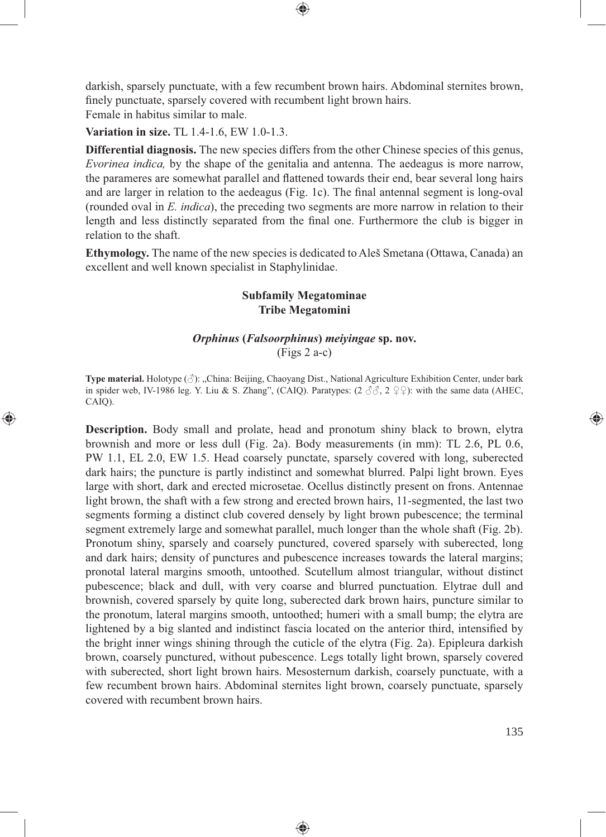darkish, sparsely punctuate, with a few recumbent brown hairs. Abdominal sternites brown, finely punctuate, sparsely covered with recumbent light brown hairs. Female in habitus similar to male.

⊕

**Variation in size.** TL 1.4-1.6, EW 1.0-1.3.

⊕

**Differential diagnosis.** The new species differs from the other Chinese species of this genus, *Evorinea indica,* by the shape of the genitalia and antenna. The aedeagus is more narrow, the parameres are somewhat parallel and flattened towards their end, bear several long hairs and are larger in relation to the aedeagus (Fig. 1c). The final antennal segment is long-oval (rounded oval in *E. indica*), the preceding two segments are more narrow in relation to their length and less distinctly separated from the final one. Furthermore the club is bigger in relation to the shaft.

**Ethymology.** The name of the new species is dedicated to Aleš Smetana (Ottawa, Canada) an excellent and well known specialist in Staphylinidae.

# **Subfamily Megatominae Tribe Megatomini**

# *Orphinus* **(***Falsoorphinus***)** *meiyingae* **sp. nov.**  (Figs 2 a-c)

**Type material.** Holotype (♂): "China: Beijing, Chaoyang Dist., National Agriculture Exhibition Center, under bark in spider web, IV-1986 leg. Y. Liu & S. Zhang", (CAIQ). Paratypes:  $(2 \hat{\sigma} \hat{\sigma}, 2 \hat{\sigma})$ : with the same data (AHEC, CAIQ).

**Description.** Body small and prolate, head and pronotum shiny black to brown, elytra brownish and more or less dull (Fig. 2a). Body measurements (in mm): TL 2.6, PL 0.6, PW 1.1, EL 2.0, EW 1.5. Head coarsely punctate, sparsely covered with long, suberected dark hairs; the puncture is partly indistinct and somewhat blurred. Palpi light brown. Eyes large with short, dark and erected microsetae. Ocellus distinctly present on frons. Antennae light brown, the shaft with a few strong and erected brown hairs, 11-segmented, the last two segments forming a distinct club covered densely by light brown pubescence; the terminal segment extremely large and somewhat parallel, much longer than the whole shaft (Fig. 2b). Pronotum shiny, sparsely and coarsely punctured, covered sparsely with suberected, long and dark hairs; density of punctures and pubescence increases towards the lateral margins; pronotal lateral margins smooth, untoothed. Scutellum almost triangular, without distinct pubescence; black and dull, with very coarse and blurred punctuation. Elytrae dull and brownish, covered sparsely by quite long, suberected dark brown hairs, puncture similar to the pronotum, lateral margins smooth, untoothed; humeri with a small bump; the elytra are lightened by a big slanted and indistinct fascia located on the anterior third, intensified by the bright inner wings shining through the cuticle of the elytra (Fig. 2a). Epipleura darkish brown, coarsely punctured, without pubescence. Legs totally light brown, sparsely covered with suberected, short light brown hairs. Mesosternum darkish, coarsely punctuate, with a few recumbent brown hairs. Abdominal sternites light brown, coarsely punctuate, sparsely covered with recumbent brown hairs.

◈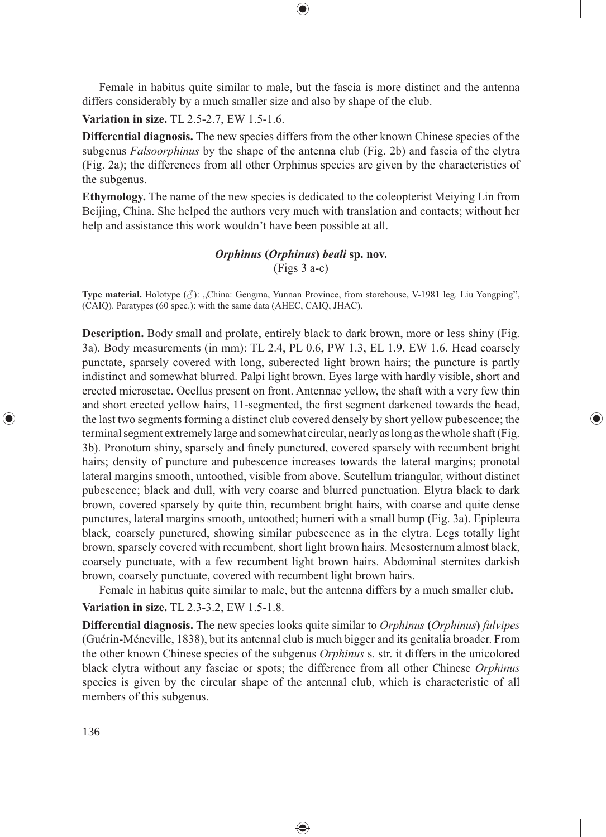Female in habitus quite similar to male, but the fascia is more distinct and the antenna differs considerably by a much smaller size and also by shape of the club.

⊕

**Variation in size.** TL 2.5-2.7, EW 1.5-1.6.

**Differential diagnosis.** The new species differs from the other known Chinese species of the subgenus *Falsoorphinus* by the shape of the antenna club (Fig. 2b) and fascia of the elytra (Fig. 2a); the differences from all other Orphinus species are given by the characteristics of the subgenus.

**Ethymology.** The name of the new species is dedicated to the coleopterist Meiying Lin from Beijing, China. She helped the authors very much with translation and contacts; without her help and assistance this work wouldn't have been possible at all.

# *Orphinus* **(***Orphinus***)** *beali* **sp. nov.**

(Figs 3 a-c)

**Type material.** Holotype (♂): "China: Gengma, Yunnan Province, from storehouse, V-1981 leg. Liu Yongping", (CAIQ). Paratypes (60 spec.): with the same data (AHEC, CAIQ, JHAC).

**Description.** Body small and prolate, entirely black to dark brown, more or less shiny (Fig. 3a). Body measurements (in mm): TL 2.4, PL 0.6, PW 1.3, EL 1.9, EW 1.6. Head coarsely punctate, sparsely covered with long, suberected light brown hairs; the puncture is partly indistinct and somewhat blurred. Palpi light brown. Eyes large with hardly visible, short and erected microsetae. Ocellus present on front. Antennae yellow, the shaft with a very few thin and short erected yellow hairs, 11-segmented, the first segment darkened towards the head, the last two segments forming a distinct club covered densely by short yellow pubescence; the terminal segment extremely large and somewhat circular, nearly as long as the whole shaft (Fig. 3b). Pronotum shiny, sparsely and finely punctured, covered sparsely with recumbent bright hairs; density of puncture and pubescence increases towards the lateral margins; pronotal lateral margins smooth, untoothed, visible from above. Scutellum triangular, without distinct pubescence; black and dull, with very coarse and blurred punctuation. Elytra black to dark brown, covered sparsely by quite thin, recumbent bright hairs, with coarse and quite dense punctures, lateral margins smooth, untoothed; humeri with a small bump (Fig. 3a). Epipleura black, coarsely punctured, showing similar pubescence as in the elytra. Legs totally light brown, sparsely covered with recumbent, short light brown hairs. Mesosternum almost black, coarsely punctuate, with a few recumbent light brown hairs. Abdominal sternites darkish brown, coarsely punctuate, covered with recumbent light brown hairs.

⊕

Female in habitus quite similar to male, but the antenna differs by a much smaller club**.**

**Variation in size.** TL 2.3-3.2, EW 1.5-1.8.

**Differential diagnosis.** The new species looks quite similar to *Orphinus* **(***Orphinus***)** *fulvipes*  (Guérin-Méneville, 1838), but its antennal club is much bigger and its genitalia broader. From the other known Chinese species of the subgenus *Orphinus* s. str. it differs in the unicolored black elytra without any fasciae or spots; the difference from all other Chinese *Orphinus* species is given by the circular shape of the antennal club, which is characteristic of all members of this subgenus.

◈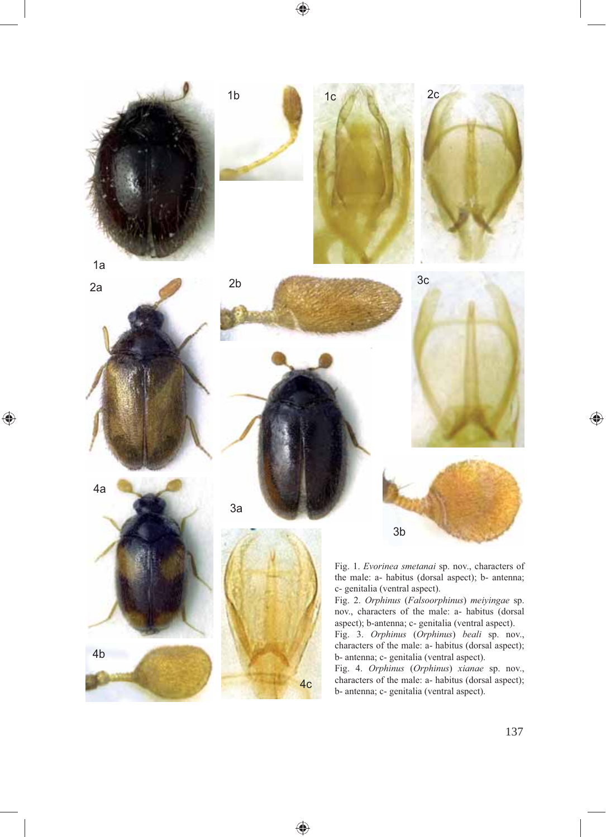$\bigoplus$ 



2a

4a

 $\bigoplus$ 

4b



3a







4c

◈



 $\bigoplus$ 



Fig. 1. *Evorinea smetanai* sp. nov., characters of the male: a- habitus (dorsal aspect); b- antenna; c- genitalia (ventral aspect).

Fig. 2. *Orphinus* (*Falsoorphinus*) *meiyingae* sp. nov., characters of the male: a- habitus (dorsal aspect); b-antenna; c- genitalia (ventral aspect).

Fig. 3. *Orphinus* (*Orphinus*) *beali* sp. nov., characters of the male: a- habitus (dorsal aspect); b- antenna; c- genitalia (ventral aspect).

Fig. 4. *Orphinus* (*Orphinus*) *xianae* sp. nov., characters of the male: a- habitus (dorsal aspect); b- antenna; c- genitalia (ventral aspect).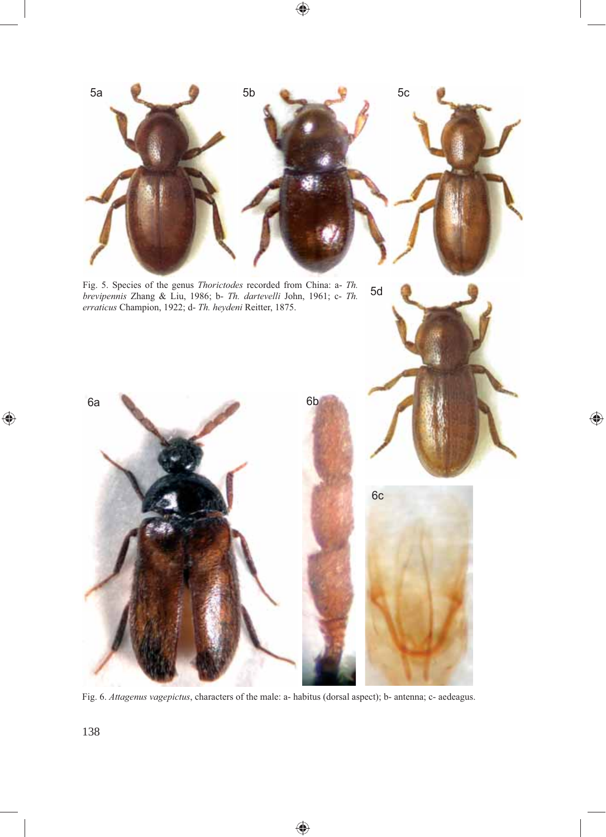

 $\bigoplus$ 

 $\bigoplus$ 

Fig. 6. *Attagenus vagepictus*, characters of the male: a- habitus (dorsal aspect); b- antenna; c- aedeagus.

 $\bigcirc$ 

 $\bigoplus$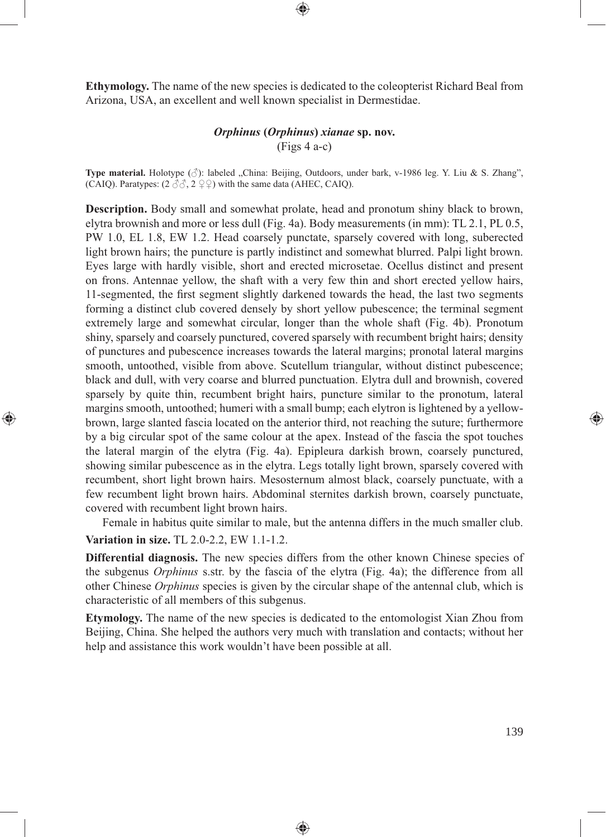**Ethymology.** The name of the new species is dedicated to the coleopterist Richard Beal from Arizona, USA, an excellent and well known specialist in Dermestidae.

⊕

# *Orphinus* **(***Orphinus***)** *xianae* **sp. nov.**  (Figs 4 a-c)

**Type material.** Holotype  $(\vec{\sigma})$ : labeled "China: Beijing, Outdoors, under bark, v-1986 leg. Y. Liu & S. Zhang", (CAIQ). Paratypes:  $(2 \text{ } \textcircled{3} \textcircled{7}, 2 \text{ } \textcircled{2} \textcircled{7})$  with the same data (AHEC, CAIQ).

**Description.** Body small and somewhat prolate, head and pronotum shiny black to brown, elytra brownish and more or less dull (Fig. 4a). Body measurements (in mm): TL 2.1, PL 0.5, PW 1.0, EL 1.8, EW 1.2. Head coarsely punctate, sparsely covered with long, suberected light brown hairs; the puncture is partly indistinct and somewhat blurred. Palpi light brown. Eyes large with hardly visible, short and erected microsetae. Ocellus distinct and present on frons. Antennae yellow, the shaft with a very few thin and short erected yellow hairs, 11-segmented, the first segment slightly darkened towards the head, the last two segments forming a distinct club covered densely by short yellow pubescence; the terminal segment extremely large and somewhat circular, longer than the whole shaft (Fig. 4b). Pronotum shiny, sparsely and coarsely punctured, covered sparsely with recumbent bright hairs; density of punctures and pubescence increases towards the lateral margins; pronotal lateral margins smooth, untoothed, visible from above. Scutellum triangular, without distinct pubescence; black and dull, with very coarse and blurred punctuation. Elytra dull and brownish, covered sparsely by quite thin, recumbent bright hairs, puncture similar to the pronotum, lateral margins smooth, untoothed; humeri with a small bump; each elytron is lightened by a yellowbrown, large slanted fascia located on the anterior third, not reaching the suture; furthermore by a big circular spot of the same colour at the apex. Instead of the fascia the spot touches the lateral margin of the elytra (Fig. 4a). Epipleura darkish brown, coarsely punctured, showing similar pubescence as in the elytra. Legs totally light brown, sparsely covered with recumbent, short light brown hairs. Mesosternum almost black, coarsely punctuate, with a few recumbent light brown hairs. Abdominal sternites darkish brown, coarsely punctuate, covered with recumbent light brown hairs.

⊕

Female in habitus quite similar to male, but the antenna differs in the much smaller club. **Variation in size.** TL 2.0-2.2, EW 1.1-1.2.

**Differential diagnosis.** The new species differs from the other known Chinese species of the subgenus *Orphinus* s.str. by the fascia of the elytra (Fig. 4a); the difference from all other Chinese *Orphinus* species is given by the circular shape of the antennal club, which is characteristic of all members of this subgenus.

**Etymology.** The name of the new species is dedicated to the entomologist Xian Zhou from Beijing, China. She helped the authors very much with translation and contacts; without her help and assistance this work wouldn't have been possible at all.

♠